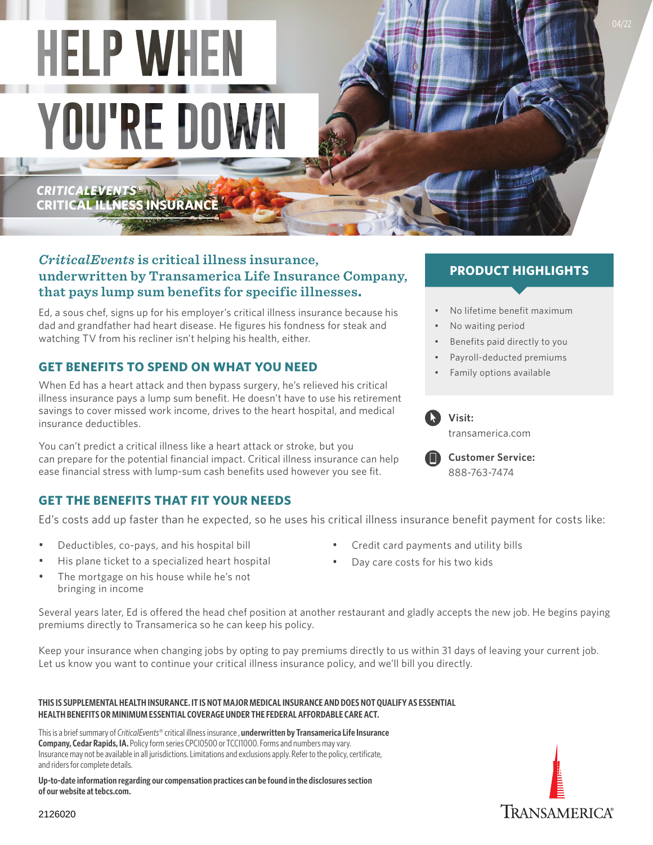# **HELP WHEN YOU'RE DOWN**

*CRITICALEVENTS®* **CRITICAL ILLNESS INSURANCE**

# *CriticalEvents* **is critical illness insurance, underwritten by Transamerica Life Insurance Company, that pays lump sum benefits for specific illnesses.**

Ed, a sous chef, signs up for his employer's critical illness insurance because his dad and grandfather had heart disease. He figures his fondness for steak and watching TV from his recliner isn't helping his health, either.

# **GET BENEFITS TO SPEND ON WHAT YOU NEED**

When Ed has a heart attack and then bypass surgery, he's relieved his critical illness insurance pays a lump sum benefit. He doesn't have to use his retirement savings to cover missed work income, drives to the heart hospital, and medical insurance deductibles.

You can't predict a critical illness like a heart attack or stroke, but you can prepare for the potential financial impact. Critical illness insurance can help ease financial stress with lump-sum cash benefits used however you see fit.

# **GET THE BENEFITS THAT FIT YOUR NEEDS**

Ed's costs add up faster than he expected, so he uses his critical illness insurance benefit payment for costs like:

- Deductibles, co-pays, and his hospital bill
- His plane ticket to a specialized heart hospital
- The mortgage on his house while he's not bringing in income
- Credit card payments and utility bills
- Day care costs for his two kids

Several years later, Ed is offered the head chef position at another restaurant and gladly accepts the new job. He begins paying premiums directly to Transamerica so he can keep his policy.

Keep your insurance when changing jobs by opting to pay premiums directly to us within 31 days of leaving your current job. Let us know you want to continue your critical illness insurance policy, and we'll bill you directly.

#### **THIS IS SUPPLEMENTAL HEALTH INSURANCE. IT IS NOT MAJOR MEDICAL INSURANCE AND DOES NOT QUALIFY AS ESSENTIAL HEALTH BENEFITS OR MINIMUM ESSENTIAL COVERAGE UNDER THE FEDERAL AFFORDABLE CARE ACT.**

This is a brief summary of *CriticalEvents*® critical illness insurance , **underwritten by Transamerica Life Insurance Company, Cedar Rapids, IA.** Policy form series CPCI0500 or TCCI1000. Forms and numbers may vary. Insurance may not be available in all jurisdictions. Limitations and exclusions apply. Refer to the policy, certificate, and riders for complete details.

**Up-to-date information regarding our compensation practices can be found in the disclosures section of our website at [tebcs.com](http://tebcs.com).**

# **PRODUCT HIGHLIGHTS**

- No lifetime benefit maximum
- No waiting period
- Benefits paid directly to you
- Payroll-deducted premiums
- Family options available





**Visit:** 



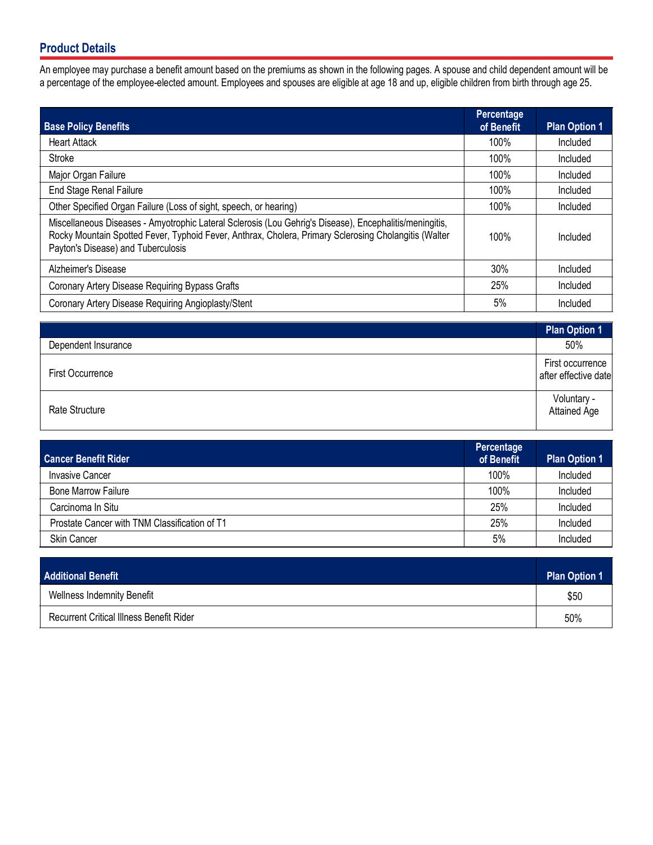# **Product Details**

An employee may purchase a benefit amount based on the premiums as shown in the following pages. A spouse and child dependent amount will be a percentage of the employee-elected amount. Employees and spouses are eligible at age 18 and up, eligible children from birth through age 25.

| <b>Base Policy Benefits</b>                                                                                                                                                                                                                            | Percentage<br>of Benefit | <b>Plan Option 1</b> |
|--------------------------------------------------------------------------------------------------------------------------------------------------------------------------------------------------------------------------------------------------------|--------------------------|----------------------|
| <b>Heart Attack</b>                                                                                                                                                                                                                                    | 100%                     | Included             |
| Stroke                                                                                                                                                                                                                                                 | 100%                     | Included             |
| Major Organ Failure                                                                                                                                                                                                                                    | 100%                     | Included             |
| <b>End Stage Renal Failure</b>                                                                                                                                                                                                                         | 100%                     | Included             |
| Other Specified Organ Failure (Loss of sight, speech, or hearing)                                                                                                                                                                                      | 100%                     | Included             |
| Miscellaneous Diseases - Amyotrophic Lateral Sclerosis (Lou Gehrig's Disease), Encephalitis/meningitis,<br>Rocky Mountain Spotted Fever, Typhoid Fever, Anthrax, Cholera, Primary Sclerosing Cholangitis (Walter<br>Payton's Disease) and Tuberculosis | 100%                     | Included             |
| Alzheimer's Disease                                                                                                                                                                                                                                    | 30%                      | Included             |
| Coronary Artery Disease Requiring Bypass Grafts                                                                                                                                                                                                        | 25%                      | Included             |
| Coronary Artery Disease Requiring Angioplasty/Stent                                                                                                                                                                                                    | 5%                       | Included             |

|                         | <b>Plan Option 1</b>                       |
|-------------------------|--------------------------------------------|
| Dependent Insurance     | 50%                                        |
| <b>First Occurrence</b> | First occurrence  <br>after effective date |
| Rate Structure          | Voluntary -<br>Attained Age                |

| <b>Cancer Benefit Rider</b>                   | Percentage<br>of Benefit | <b>Plan Option 1</b> |
|-----------------------------------------------|--------------------------|----------------------|
| <b>Invasive Cancer</b>                        | 100%                     | Included             |
| <b>Bone Marrow Failure</b>                    | 100%                     | Included             |
| Carcinoma In Situ                             | 25%                      | Included             |
| Prostate Cancer with TNM Classification of T1 | 25%                      | Included             |
| <b>Skin Cancer</b>                            | 5%                       | Included             |

| <b>Additional Benefit</b>                | <b>Plan Option 1</b> |
|------------------------------------------|----------------------|
| <b>Wellness Indemnity Benefit</b>        | \$50                 |
| Recurrent Critical Illness Benefit Rider | 50%                  |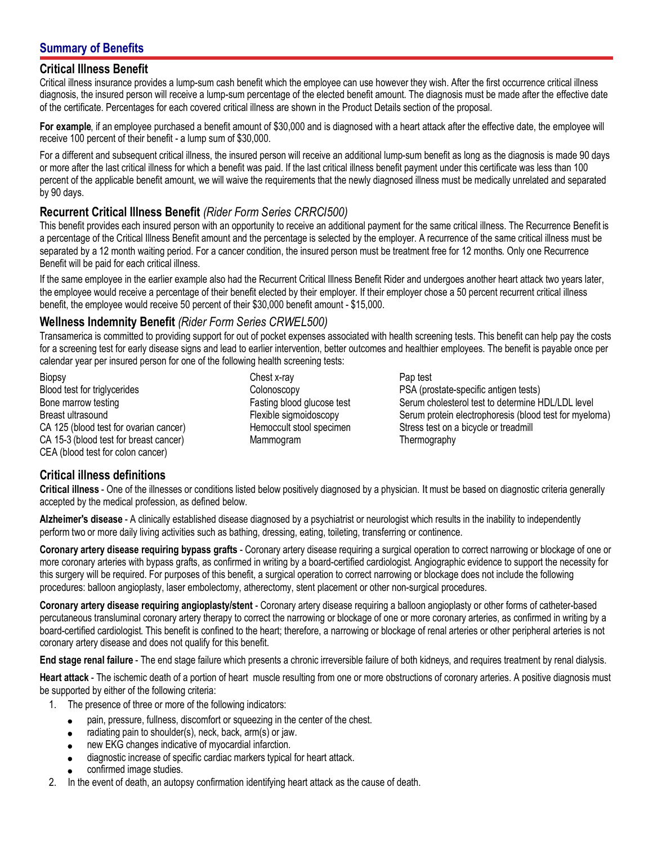# **Summary of Benefits**

#### **Critical Illness Benefit**

Critical illness insurance provides a lump-sum cash benefit which the employee can use however they wish. After the first occurrence critical illness diagnosis, the insured person will receive a lump-sum percentage of the elected benefit amount. The diagnosis must be made after the effective date of the certificate. Percentages for each covered critical illness are shown in the Product Details section of the proposal.

**For example**, if an employee purchased a benefit amount of \$30,000 and is diagnosed with a heart attack after the effective date, the employee will receive 100 percent of their benefit - a lump sum of \$30,000.

For a different and subsequent critical illness, the insured person will receive an additional lump-sum benefit as long as the diagnosis is made 90 days or more after the last critical illness for which a benefit was paid. If the last critical illness benefit payment under this certificate was less than 100 percent of the applicable benefit amount, we will waive the requirements that the newly diagnosed illness must be medically unrelated and separated by 90 days.

#### **Recurrent Critical Illness Benefit** *(Rider Form Series CRRCI500)*

This benefit provides each insured person with an opportunity to receive an additional payment for the same critical illness. The Recurrence Benefit is a percentage of the Critical Illness Benefit amount and the percentage is selected by the employer. A recurrence of the same critical illness must be separated by a 12 month waiting period. For a cancer condition, the insured person must be treatment free for 12 months. Only one Recurrence Benefit will be paid for each critical illness.

If the same employee in the earlier example also had the Recurrent Critical Illness Benefit Rider and undergoes another heart attack two years later, the employee would receive a percentage of their benefit elected by their employer. If their employer chose a 50 percent recurrent critical illness benefit, the employee would receive 50 percent of their \$30,000 benefit amount - \$15,000.

#### **Wellness Indemnity Benefit** *(Rider Form Series CRWEL500)*

Transamerica is committed to providing support for out of pocket expenses associated with health screening tests. This benefit can help pay the costs for a screening test for early disease signs and lead to earlier intervention, better outcomes and healthier employees. The benefit is payable once per calendar year per insured person for one of the following health screening tests:

**Biopsy** Blood test for triglycerides Bone marrow testing Breast ultrasound CA 125 (blood test for ovarian cancer) CA 15-3 (blood test for breast cancer) CEA (blood test for colon cancer)

Chest x-ray **Colonoscopy** Fasting blood glucose test Flexible sigmoidoscopy Hemoccult stool specimen Mammogram

Pap test PSA (prostate-specific antigen tests) Serum cholesterol test to determine HDL/LDL level Serum protein electrophoresis (blood test for myeloma) Stress test on a bicycle or treadmill **Thermography** 

#### **Critical illness definitions**

**Critical illness** - One of the illnesses or conditions listed below positively diagnosed by a physician. It must be based on diagnostic criteria generally accepted by the medical profession, as defined below.

**Alzheimer's disease** - A clinically established disease diagnosed by a psychiatrist or neurologist which results in the inability to independently perform two or more daily living activities such as bathing, dressing, eating, toileting, transferring or continence.

**Coronary artery disease requiring bypass grafts** - Coronary artery disease requiring a surgical operation to correct narrowing or blockage of one or more coronary arteries with bypass grafts, as confirmed in writing by a board-certified cardiologist. Angiographic evidence to support the necessity for this surgery will be required. For purposes of this benefit, a surgical operation to correct narrowing or blockage does not include the following procedures: balloon angioplasty, laser embolectomy, atherectomy, stent placement or other non-surgical procedures.

**Coronary artery disease requiring angioplasty/stent** - Coronary artery disease requiring a balloon angioplasty or other forms of catheter-based percutaneous transluminal coronary artery therapy to correct the narrowing or blockage of one or more coronary arteries, as confirmed in writing by a board-certified cardiologist. This benefit is confined to the heart; therefore, a narrowing or blockage of renal arteries or other peripheral arteries is not coronary artery disease and does not qualify for this benefit.

**End stage renal failure** - The end stage failure which presents a chronic irreversible failure of both kidneys, and requires treatment by renal dialysis.

**Heart attack** - The ischemic death of a portion of heart muscle resulting from one or more obstructions of coronary arteries. A positive diagnosis must be supported by either of the following criteria:

- 1. The presence of three or more of the following indicators:
	- pain, pressure, fullness, discomfort or squeezing in the center of the chest.
	- radiating pain to shoulder(s), neck, back, arm(s) or jaw.
	- new EKG changes indicative of myocardial infarction.
	- diagnostic increase of specific cardiac markers typical for heart attack.
	- confirmed image studies.
- 2. In the event of death, an autopsy confirmation identifying heart attack as the cause of death.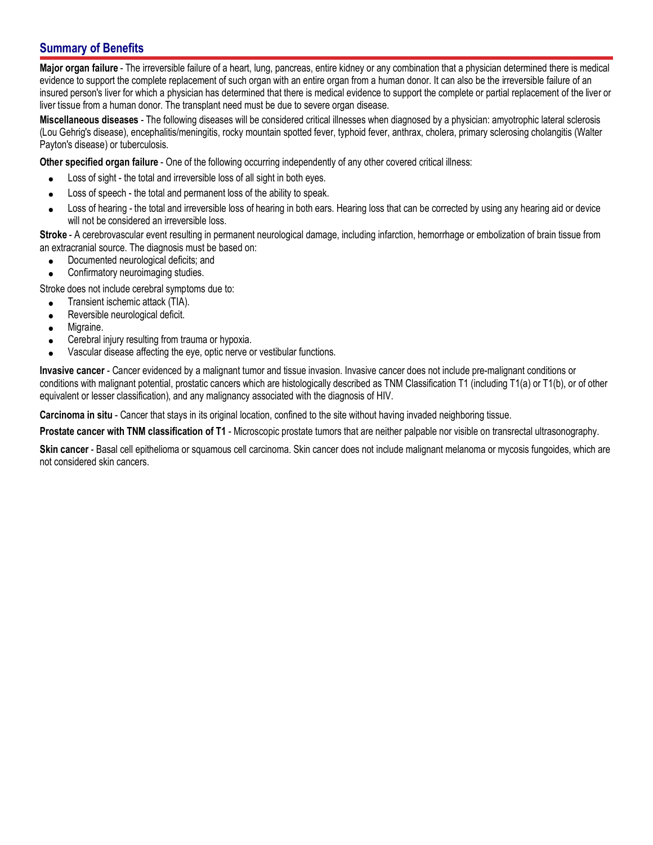## **Summary of Benefits**

**Major organ failure** - The irreversible failure of a heart, lung, pancreas, entire kidney or any combination that a physician determined there is medical evidence to support the complete replacement of such organ with an entire organ from a human donor. It can also be the irreversible failure of an insured person's liver for which a physician has determined that there is medical evidence to support the complete or partial replacement of the liver or liver tissue from a human donor. The transplant need must be due to severe organ disease.

**Miscellaneous diseases** - The following diseases will be considered critical illnesses when diagnosed by a physician: amyotrophic lateral sclerosis (Lou Gehrig's disease), encephalitis/meningitis, rocky mountain spotted fever, typhoid fever, anthrax, cholera, primary sclerosing cholangitis (Walter Payton's disease) or tuberculosis.

**Other specified organ failure** - One of the following occurring independently of any other covered critical illness:

- Loss of sight the total and irreversible loss of all sight in both eyes.  $\bullet$
- Loss of speech the total and permanent loss of the ability to speak.  $\bullet$
- Loss of hearing the total and irreversible loss of hearing in both ears. Hearing loss that can be corrected by using any hearing aid or device  $\bullet$ will not be considered an irreversible loss.

**Stroke** - A cerebrovascular event resulting in permanent neurological damage, including infarction, hemorrhage or embolization of brain tissue from an extracranial source. The diagnosis must be based on:

- Documented neurological deficits; and  $\bullet$
- Confirmatory neuroimaging studies.

Stroke does not include cerebral symptoms due to:

- Transient ischemic attack (TIA).  $\bullet$
- Reversible neurological deficit.  $\bullet$
- Migraine.  $\bullet$
- Cerebral injury resulting from trauma or hypoxia.
- Vascular disease affecting the eye, optic nerve or vestibular functions.

**Invasive cancer** - Cancer evidenced by a malignant tumor and tissue invasion. Invasive cancer does not include pre-malignant conditions or conditions with malignant potential, prostatic cancers which are histologically described as TNM Classification T1 (including T1(a) or T1(b), or of other equivalent or lesser classification), and any malignancy associated with the diagnosis of HIV.

**Carcinoma in situ** - Cancer that stays in its original location, confined to the site without having invaded neighboring tissue.

**Prostate cancer with TNM classification of T1** - Microscopic prostate tumors that are neither palpable nor visible on transrectal ultrasonography.

**Skin cancer** - Basal cell epithelioma or squamous cell carcinoma. Skin cancer does not include malignant melanoma or mycosis fungoides, which are not considered skin cancers.